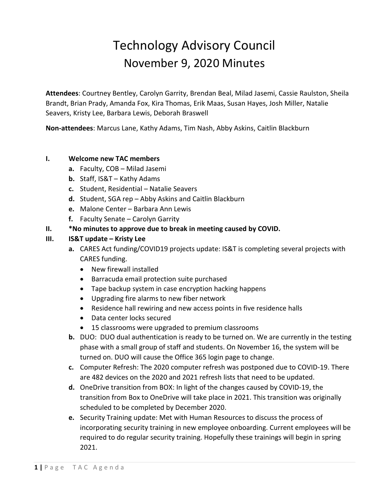# Technology Advisory Council November 9, 2020 Minutes

**Attendees**: Courtney Bentley, Carolyn Garrity, Brendan Beal, Milad Jasemi, Cassie Raulston, Sheila Brandt, Brian Prady, Amanda Fox, Kira Thomas, Erik Maas, Susan Hayes, Josh Miller, Natalie Seavers, Kristy Lee, Barbara Lewis, Deborah Braswell

**Non-attendees**: Marcus Lane, Kathy Adams, Tim Nash, Abby Askins, Caitlin Blackburn

#### **I. Welcome new TAC members**

- **a.** Faculty, COB Milad Jasemi
- **b.** Staff, IS&T Kathy Adams
- **c.** Student, Residential Natalie Seavers
- **d.** Student, SGA rep Abby Askins and Caitlin Blackburn
- **e.** Malone Center Barbara Ann Lewis
- **f.** Faculty Senate Carolyn Garrity
- **II. \*No minutes to approve due to break in meeting caused by COVID.**

### **III. IS&T update – Kristy Lee**

- **a.** CARES Act funding/COVID19 projects update: IS&T is completing several projects with CARES funding.
	- New firewall installed
	- Barracuda email protection suite purchased
	- Tape backup system in case encryption hacking happens
	- Upgrading fire alarms to new fiber network
	- Residence hall rewiring and new access points in five residence halls
	- Data center locks secured
	- 15 classrooms were upgraded to premium classrooms
- **b.** DUO: DUO dual authentication is ready to be turned on. We are currently in the testing phase with a small group of staff and students. On November 16, the system will be turned on. DUO will cause the Office 365 login page to change.
- **c.** Computer Refresh: The 2020 computer refresh was postponed due to COVID-19. There are 482 devices on the 2020 and 2021 refresh lists that need to be updated.
- **d.** OneDrive transition from BOX: In light of the changes caused by COVID-19, the transition from Box to OneDrive will take place in 2021. This transition was originally scheduled to be completed by December 2020.
- **e.** Security Training update: Met with Human Resources to discuss the process of incorporating security training in new employee onboarding. Current employees will be required to do regular security training. Hopefully these trainings will begin in spring 2021.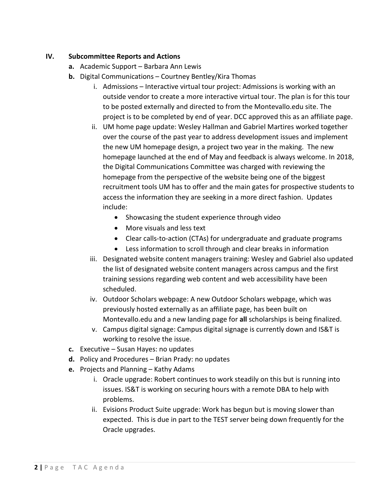#### **IV. Subcommittee Reports and Actions**

- **a.** Academic Support Barbara Ann Lewis
- **b.** Digital Communications Courtney Bentley/Kira Thomas
	- i. Admissions Interactive virtual tour project: Admissions is working with an outside vendor to create a more interactive virtual tour. The plan is for this tour to be posted externally and directed to from the Montevallo.edu site. The project is to be completed by end of year. DCC approved this as an affiliate page.
	- ii. UM home page update: Wesley Hallman and Gabriel Martires worked together over the course of the past year to address development issues and implement the new UM homepage design, a project two year in the making. The new homepage launched at the end of May and feedback is always welcome. In 2018, the Digital Communications Committee was charged with reviewing the homepage from the perspective of the website being one of the biggest recruitment tools UM has to offer and the main gates for prospective students to access the information they are seeking in a more direct fashion. Updates include:
		- Showcasing the student experience through video
		- More visuals and less text
		- Clear calls-to-action (CTAs) for undergraduate and graduate programs
		- Less information to scroll through and clear breaks in information
	- iii. Designated website content managers training: Wesley and Gabriel also updated the list of designated website content managers across campus and the first training sessions regarding web content and web accessibility have been scheduled.
	- iv. Outdoor Scholars webpage: A new Outdoor Scholars webpage, which was previously hosted externally as an affiliate page, has been built on Montevallo.edu and a new landing page for **all** scholarships is being finalized.
	- v. Campus digital signage: Campus digital signage is currently down and IS&T is working to resolve the issue.
- **c.** Executive Susan Hayes: no updates
- **d.** Policy and Procedures Brian Prady: no updates
- **e.** Projects and Planning Kathy Adams
	- i. Oracle upgrade: Robert continues to work steadily on this but is running into issues. IS&T is working on securing hours with a remote DBA to help with problems.
	- ii. Evisions Product Suite upgrade: Work has begun but is moving slower than expected. This is due in part to the TEST server being down frequently for the Oracle upgrades.